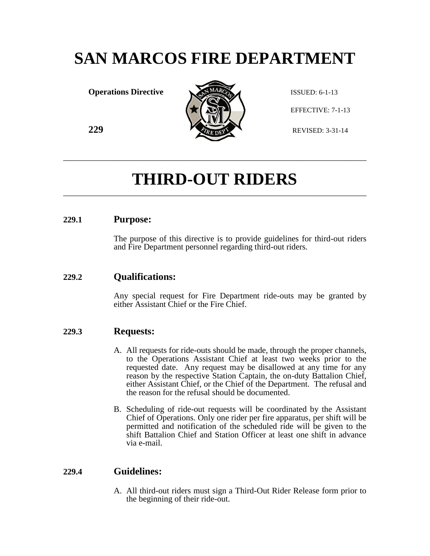# **SAN MARCOS FIRE DEPARTMENT**

**Operations Directive ISSUED: 6-1-13** 



EFFECTIVE: 7-1-13

# **THIRD-OUT RIDERS** \_\_\_\_\_\_\_\_\_\_\_\_\_\_\_\_\_\_\_\_\_\_\_\_\_\_\_\_\_\_\_\_\_\_\_\_\_\_\_\_\_\_\_\_\_\_\_\_\_\_\_\_\_\_\_\_\_\_\_\_\_\_\_\_\_\_\_\_\_\_\_\_

\_\_\_\_\_\_\_\_\_\_\_\_\_\_\_\_\_\_\_\_\_\_\_\_\_\_\_\_\_\_\_\_\_\_\_\_\_\_\_\_\_\_\_\_\_\_\_\_\_\_\_\_\_\_\_\_\_\_\_\_\_\_\_\_\_\_\_\_\_\_\_\_

#### **229.1 Purpose:**

The purpose of this directive is to provide guidelines for third-out riders and Fire Department personnel regarding third-out riders.

#### **229.2 Qualifications:**

Any special request for Fire Department ride-outs may be granted by either Assistant Chief or the Fire Chief.

#### **229.3 Requests:**

- A. All requests for ride-outs should be made, through the proper channels, to the Operations Assistant Chief at least two weeks prior to the requested date. Any request may be disallowed at any time for any reason by the respective Station Captain, the on-duty Battalion Chief, either Assistant Chief, or the Chief of the Department. The refusal and the reason for the refusal should be documented.
- B. Scheduling of ride-out requests will be coordinated by the Assistant Chief of Operations. Only one rider per fire apparatus, per shift will be permitted and notification of the scheduled ride will be given to the shift Battalion Chief and Station Officer at least one shift in advance via e-mail.

#### **229.4 Guidelines:**

A. All third-out riders must sign a Third-Out Rider Release form prior to the beginning of their ride-out.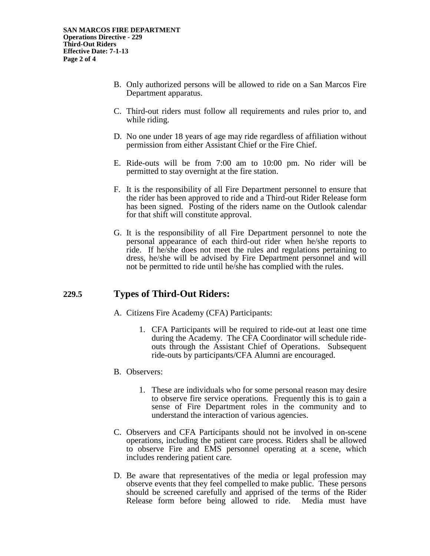- B. Only authorized persons will be allowed to ride on a San Marcos Fire Department apparatus.
- C. Third-out riders must follow all requirements and rules prior to, and while riding.
- D. No one under 18 years of age may ride regardless of affiliation without permission from either Assistant Chief or the Fire Chief.
- E. Ride-outs will be from 7:00 am to 10:00 pm. No rider will be permitted to stay overnight at the fire station.
- F. It is the responsibility of all Fire Department personnel to ensure that the rider has been approved to ride and a Third-out Rider Release form has been signed. Posting of the riders name on the Outlook calendar for that shift will constitute approval.
- G. It is the responsibility of all Fire Department personnel to note the personal appearance of each third-out rider when he/she reports to ride. If he/she does not meet the rules and regulations pertaining to dress, he/she will be advised by Fire Department personnel and will not be permitted to ride until he/she has complied with the rules.

### **229.5 Types of Third-Out Riders:**

- A. Citizens Fire Academy (CFA) Participants:
	- 1. CFA Participants will be required to ride-out at least one time during the Academy. The CFA Coordinator will schedule rideouts through the Assistant Chief of Operations. Subsequent ride-outs by participants/CFA Alumni are encouraged.

#### B. Observers:

- 1. These are individuals who for some personal reason may desire to observe fire service operations. Frequently this is to gain a sense of Fire Department roles in the community and to understand the interaction of various agencies.
- C. Observers and CFA Participants should not be involved in on-scene operations, including the patient care process. Riders shall be allowed to observe Fire and EMS personnel operating at a scene, which includes rendering patient care.
- D. Be aware that representatives of the media or legal profession may observe events that they feel compelled to make public. These persons should be screened carefully and apprised of the terms of the Rider Release form before being allowed to ride. Media must have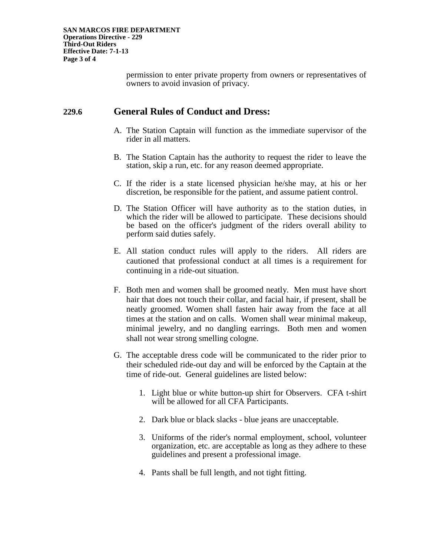permission to enter private property from owners or representatives of owners to avoid invasion of privacy.

#### **229.6 General Rules of Conduct and Dress:**

- A. The Station Captain will function as the immediate supervisor of the rider in all matters.
- B. The Station Captain has the authority to request the rider to leave the station, skip a run, etc. for any reason deemed appropriate.
- C. If the rider is a state licensed physician he/she may, at his or her discretion, be responsible for the patient, and assume patient control.
- D. The Station Officer will have authority as to the station duties, in which the rider will be allowed to participate. These decisions should be based on the officer's judgment of the riders overall ability to perform said duties safely.
- E. All station conduct rules will apply to the riders. All riders are cautioned that professional conduct at all times is a requirement for continuing in a ride-out situation.
- F. Both men and women shall be groomed neatly. Men must have short hair that does not touch their collar, and facial hair, if present, shall be neatly groomed. Women shall fasten hair away from the face at all times at the station and on calls. Women shall wear minimal makeup, minimal jewelry, and no dangling earrings. Both men and women shall not wear strong smelling cologne.
- G. The acceptable dress code will be communicated to the rider prior to their scheduled ride-out day and will be enforced by the Captain at the time of ride-out. General guidelines are listed below:
	- 1. Light blue or white button-up shirt for Observers. CFA t-shirt will be allowed for all CFA Participants.
	- 2. Dark blue or black slacks blue jeans are unacceptable.
	- 3. Uniforms of the rider's normal employment, school, volunteer organization, etc. are acceptable as long as they adhere to these guidelines and present a professional image.
	- 4. Pants shall be full length, and not tight fitting.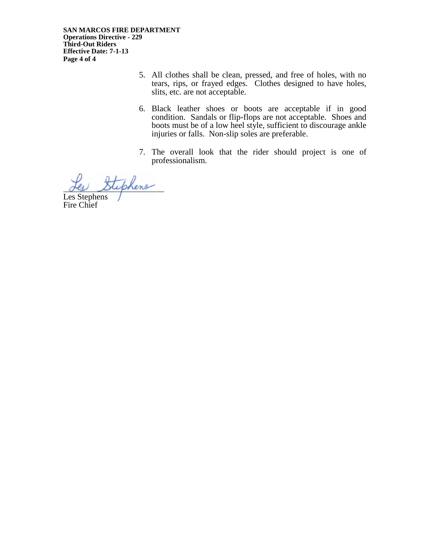- 5. All clothes shall be clean, pressed, and free of holes, with no tears, rips, or frayed edges. Clothes designed to have holes, slits, etc. are not acceptable.
- 6. Black leather shoes or boots are acceptable if in good condition. Sandals or flip-flops are not acceptable. Shoes and boots must be of a low heel style, sufficient to discourage ankle injuries or falls. Non-slip soles are preferable.
- 7. The overall look that the rider should project is one of professionalism.

hens

Les Stephens Fire Chief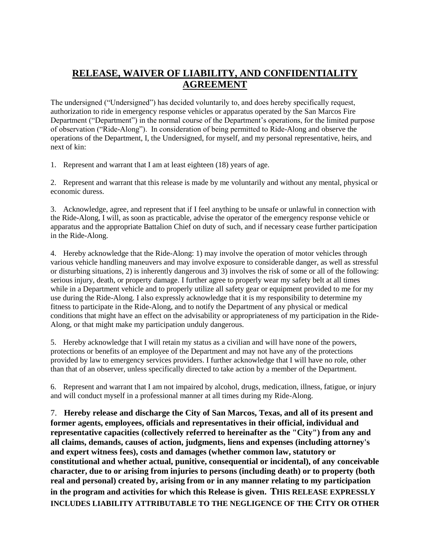## **RELEASE, WAIVER OF LIABILITY, AND CONFIDENTIALITY AGREEMENT**

The undersigned ("Undersigned") has decided voluntarily to, and does hereby specifically request, authorization to ride in emergency response vehicles or apparatus operated by the San Marcos Fire Department ("Department") in the normal course of the Department's operations, for the limited purpose of observation ("Ride-Along"). In consideration of being permitted to Ride-Along and observe the operations of the Department, I, the Undersigned, for myself, and my personal representative, heirs, and next of kin:

1. Represent and warrant that I am at least eighteen (18) years of age.

2. Represent and warrant that this release is made by me voluntarily and without any mental, physical or economic duress.

3. Acknowledge, agree, and represent that if I feel anything to be unsafe or unlawful in connection with the Ride-Along, I will, as soon as practicable, advise the operator of the emergency response vehicle or apparatus and the appropriate Battalion Chief on duty of such, and if necessary cease further participation in the Ride-Along.

4. Hereby acknowledge that the Ride-Along: 1) may involve the operation of motor vehicles through various vehicle handling maneuvers and may involve exposure to considerable danger, as well as stressful or disturbing situations, 2) is inherently dangerous and 3) involves the risk of some or all of the following: serious injury, death, or property damage. I further agree to properly wear my safety belt at all times while in a Department vehicle and to properly utilize all safety gear or equipment provided to me for my use during the Ride-Along. I also expressly acknowledge that it is my responsibility to determine my fitness to participate in the Ride-Along, and to notify the Department of any physical or medical conditions that might have an effect on the advisability or appropriateness of my participation in the Ride-Along, or that might make my participation unduly dangerous.

5. Hereby acknowledge that I will retain my status as a civilian and will have none of the powers, protections or benefits of an employee of the Department and may not have any of the protections provided by law to emergency services providers. I further acknowledge that I will have no role, other than that of an observer, unless specifically directed to take action by a member of the Department.

6. Represent and warrant that I am not impaired by alcohol, drugs, medication, illness, fatigue, or injury and will conduct myself in a professional manner at all times during my Ride-Along.

7. **Hereby release and discharge the City of San Marcos, Texas, and all of its present and former agents, employees, officials and representatives in their official, individual and representative capacities (collectively referred to hereinafter as the "City") from any and all claims, demands, causes of action, judgments, liens and expenses (including attorney's and expert witness fees), costs and damages (whether common law, statutory or constitutional and whether actual, punitive, consequential or incidental), of any conceivable character, due to or arising from injuries to persons (including death) or to property (both real and personal) created by, arising from or in any manner relating to my participation in the program and activities for which this Release is given. THIS RELEASE EXPRESSLY INCLUDES LIABILITY ATTRIBUTABLE TO THE NEGLIGENCE OF THE CITY OR OTHER**